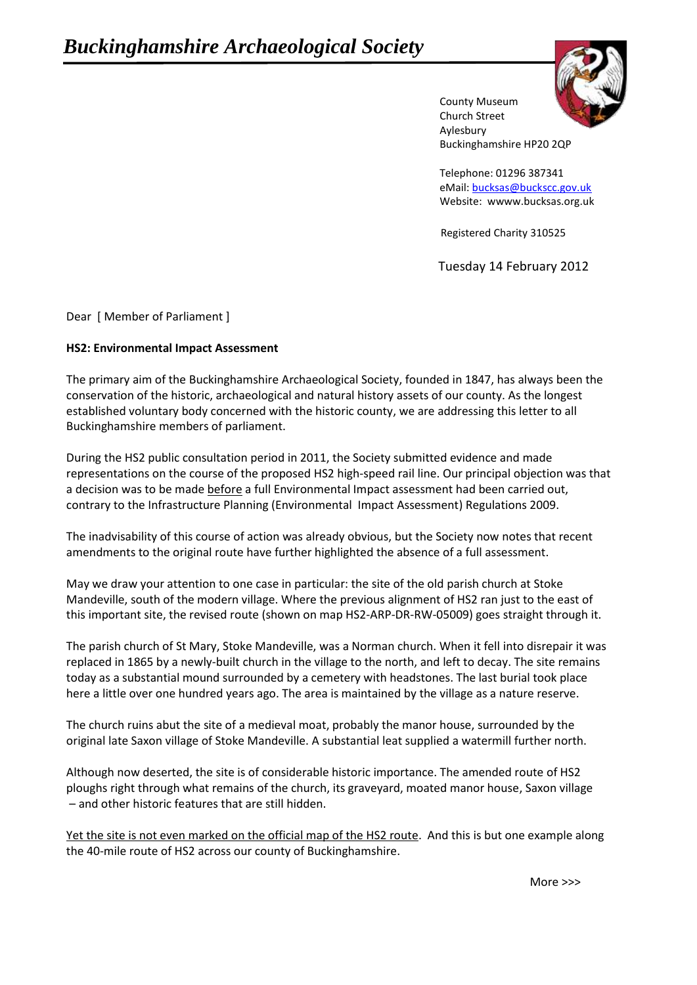

County Museum Church Street Aylesbury Buckinghamshire HP20 2QP

Telephone: 01296 387341 eMail[: bucksas@buckscc.gov.uk](mailto:bucksas@buckscc.gov.uk) Website: wwww.bucksas.org.uk

Registered Charity 310525

Tuesday 14 February 2012

Dear [ Member of Parliament ]

## **HS2: Environmental Impact Assessment**

The primary aim of the Buckinghamshire Archaeological Society, founded in 1847, has always been the conservation of the historic, archaeological and natural history assets of our county. As the longest established voluntary body concerned with the historic county, we are addressing this letter to all Buckinghamshire members of parliament.

During the HS2 public consultation period in 2011, the Society submitted evidence and made representations on the course of the proposed HS2 high-speed rail line. Our principal objection was that a decision was to be made before a full Environmental Impact assessment had been carried out, contrary to the Infrastructure Planning (Environmental Impact Assessment) Regulations 2009.

The inadvisability of this course of action was already obvious, but the Society now notes that recent amendments to the original route have further highlighted the absence of a full assessment.

May we draw your attention to one case in particular: the site of the old parish church at Stoke Mandeville, south of the modern village. Where the previous alignment of HS2 ran just to the east of this important site, the revised route (shown on map HS2-ARP-DR-RW-05009) goes straight through it.

The parish church of St Mary, Stoke Mandeville, was a Norman church. When it fell into disrepair it was replaced in 1865 by a newly-built church in the village to the north, and left to decay. The site remains today as a substantial mound surrounded by a cemetery with headstones. The last burial took place here a little over one hundred years ago. The area is maintained by the village as a nature reserve.

The church ruins abut the site of a medieval moat, probably the manor house, surrounded by the original late Saxon village of Stoke Mandeville. A substantial leat supplied a watermill further north.

Although now deserted, the site is of considerable historic importance. The amended route of HS2 ploughs right through what remains of the church, its graveyard, moated manor house, Saxon village – and other historic features that are still hidden.

Yet the site is not even marked on the official map of the HS2 route. And this is but one example along the 40-mile route of HS2 across our county of Buckinghamshire.